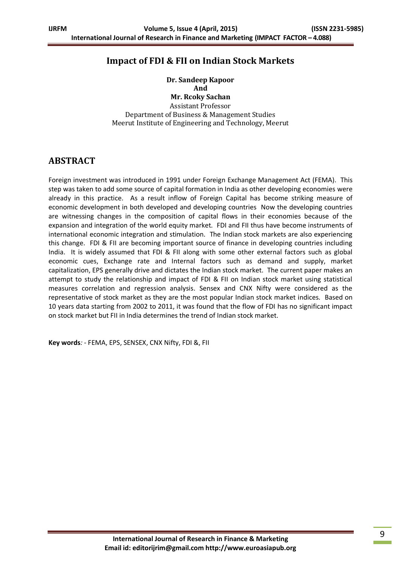## **Impact of FDI & FII on Indian Stock Markets**

**Dr. Sandeep Kapoor And Mr. Rcoky Sachan** Assistant Professor

Department of Business & Management Studies Meerut Institute of Engineering and Technology, Meerut

## **ABSTRACT**

Foreign investment was introduced in 1991 under Foreign Exchange Management Act (FEMA). This step was taken to add some source of capital formation in India as other developing economies were already in this practice. As a result inflow of Foreign Capital has become striking measure of economic development in both developed and developing countries Now the developing countries are witnessing changes in the composition of capital flows in their economies because of the expansion and integration of the world equity market. FDI and FII thus have become instruments of international economic integration and stimulation. The Indian stock markets are also experiencing this change. FDI & FII are becoming important source of finance in developing countries including India. It is widely assumed that FDI & FII along with some other external factors such as global economic cues, Exchange rate and Internal factors such as demand and supply, market capitalization, EPS generally drive and dictates the Indian stock market. The current paper makes an attempt to study the relationship and impact of FDI & FII on Indian stock market using statistical measures correlation and regression analysis. Sensex and CNX Nifty were considered as the representative of stock market as they are the most popular Indian stock market indices. Based on 10 years data starting from 2002 to 2011, it was found that the flow of FDI has no significant impact on stock market but FII in India determines the trend of Indian stock market.

**Key words***: -* FEMA, EPS, SENSEX, CNX Nifty, FDI &, FII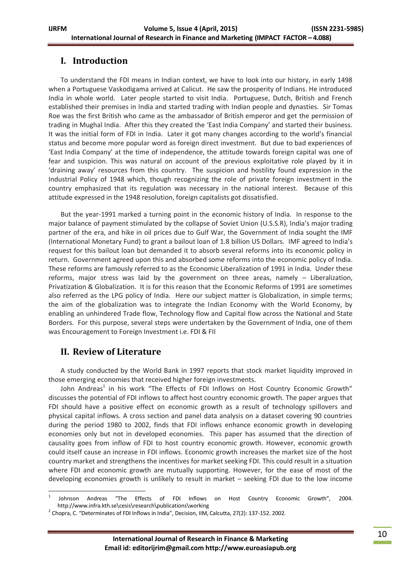# **I. Introduction**

To understand the FDI means in Indian context, we have to look into our history, in early 1498 when a Portuguese Vaskodigama arrived at Calicut. He saw the prosperity of Indians. He introduced India in whole world. Later people started to visit India. Portuguese, Dutch, British and French established their premises in India and started trading with Indian people and dynasties. Sir Tomas Roe was the first British who came as the ambassador of British emperor and get the permission of trading in Mughal India. After this they created the 'East India Company' and started their business. It was the initial form of FDI in India. Later it got many changes according to the world's financial status and become more popular word as foreign direct investment. But due to bad experiences of 'East India Company' at the time of independence, the attitude towards foreign capital was one of fear and suspicion. This was natural on account of the previous exploitative role played by it in 'draining away' resources from this country. The suspicion and hostility found expression in the Industrial Policy of 1948 which, though recognizing the role of private foreign investment in the country emphasized that its regulation was necessary in the national interest. Because of this attitude expressed in the 1948 resolution, foreign capitalists got dissatisfied.

But the year-1991 marked a turning point in the economic history of India. In response to the major balance of payment stimulated by the collapse of Soviet Union (U.S.S.R), India's major trading partner of the era, and hike in oil prices due to Gulf War, the Government of India sought the IMF (International Monetary Fund) to grant a bailout loan of 1.8 billion US Dollars. IMF agreed to India's request for this bailout loan but demanded it to absorb several reforms into its economic policy in return. Government agreed upon this and absorbed some reforms into the economic policy of India. These reforms are famously referred to as the Economic Liberalization of 1991 in India. Under these reforms, major stress was laid by the government on three areas, namely – Liberalization, Privatization & Globalization. It is for this reason that the Economic Reforms of 1991 are sometimes also referred as the LPG policy of India. Here our subject matter is Globalization, in simple terms; the aim of the globalization was to integrate the Indian Economy with the World Economy, by enabling an unhindered Trade flow, Technology flow and Capital flow across the National and State Borders. For this purpose, several steps were undertaken by the Government of India, one of them was Encouragement to Foreign Investment i.e. FDI & FII

## **II. Review of Literature**

A study conducted by the World Bank in 1997 reports that stock market liquidity improved in those emerging economies that received higher foreign investments.

John Andreas<sup>1</sup> in his work "The Effects of FDI Inflows on Host Country Economic Growth" discusses the potential of FDI inflows to affect host country economic growth. The paper argues that FDI should have a positive effect on economic growth as a result of technology spillovers and physical capital inflows. A cross section and panel data analysis on a dataset covering 90 countries during the period 1980 to 2002, finds that FDI inflows enhance economic growth in developing economies only but not in developed economies. This paper has assumed that the direction of causality goes from inflow of FDI to host country economic growth. However, economic growth could itself cause an increase in FDI inflows. Economic growth increases the market size of the host country market and strengthens the incentives for market seeking FDI. This could result in a situation where FDI and economic growth are mutually supporting. However, for the ease of most of the developing economies growth is unlikely to result in market – seeking FDI due to the low income

**<sup>.</sup>** 1 Johnson Andreas "The Effects of FDI Inflows on Host Country Economic Growth", 2004. http://www.infra.kth.se\cesis\research\publications\working

 $2$  Chopra, C. "Determinates of FDI Inflows in India", Decision, IIM, Calcutta, 27(2): 137-152. 2002.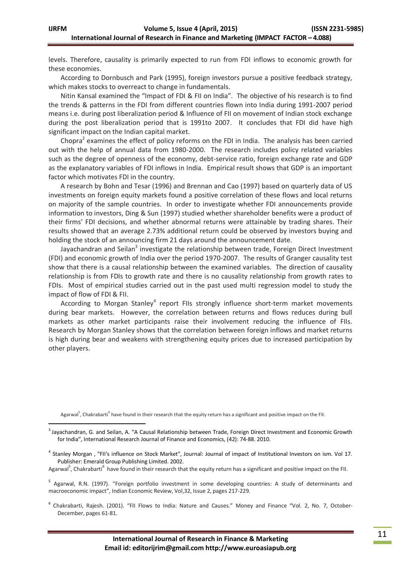levels. Therefore, causality is primarily expected to run from FDI inflows to economic growth for these economies.

According to Dornbusch and Park (1995), foreign investors pursue a positive feedback strategy, which makes stocks to overreact to change in fundamentals.

Nitin Kansal examined the "Impact of FDI & FII on India". The objective of his research is to find the trends & patterns in the FDI from different countries flown into India during 1991-2007 period means i.e. during post liberalization period & Influence of FII on movement of Indian stock exchange during the post liberalization period that is 1991to 2007. It concludes that FDI did have high significant impact on the Indian capital market.

Chopra<sup>2</sup> examines the effect of policy reforms on the FDI in India. The analysis has been carried out with the help of annual data from 1980-2000. The research includes policy related variables such as the degree of openness of the economy, debt-service ratio, foreign exchange rate and GDP as the explanatory variables of FDI inflows in India. Empirical result shows that GDP is an important factor which motivates FDI in the country.

A research by Bohn and Tesar (1996) and Brennan and Cao (1997) based on quarterly data of US investments on foreign equity markets found a positive correlation of these flows and local returns on majority of the sample countries. In order to investigate whether FDI announcements provide information to investors, Ding & Sun (1997) studied whether shareholder benefits were a product of their firms' FDI decisions, and whether abnormal returns were attainable by trading shares. Their results showed that an average 2.73% additional return could be observed by investors buying and holding the stock of an announcing firm 21 days around the announcement date.

Jayachandran and Seilan<sup>3</sup> investigate the relationship between trade, Foreign Direct Investment (FDI) and economic growth of India over the period 1970-2007. The results of Granger causality test show that there is a causal relationship between the examined variables. The direction of causality relationship is from FDIs to growth rate and there is no causality relationship from growth rates to FDIs. Most of empirical studies carried out in the past used multi regression model to study the impact of flow of FDI & FII.

According to Morgan Stanley<sup>4</sup> report FIIs strongly influence short-term market movements during bear markets. However, the correlation between returns and flows reduces during bull markets as other market participants raise their involvement reducing the influence of FIIs. Research by Morgan Stanley shows that the correlation between foreign inflows and market returns is high during bear and weakens with strengthening equity prices due to increased participation by other players.

Agarwal<sup>5</sup>, Chakrabarti<sup>6</sup> have found in their research that the equity return has a significant and positive impact on the FII.

-

<sup>6</sup> Chakrabarti, Rajesh. (2001). "FII Flows to India: Nature and Causes." Money and Finance "Vol. 2, No. 7, October-December, pages 61-81.

<sup>&</sup>lt;sup>3</sup> Jayachandran, G. and Seilan, A. "A Causal Relationship between Trade, Foreign Direct Investment and Economic Growth for India", International Research Journal of Finance and Economics, (42): 74-88. 2010.

<sup>&</sup>lt;sup>4</sup> Stanley Morgan, "FII's influence on Stock Market", Journal: Journal of impact of Institutional Investors on ism. Vol 17. Publisher: Emerald Group Publishing Limited. 2002.

Agarwal<sup>5</sup>, Chakrabarti<sup>6</sup> have found in their research that the equity return has a significant and positive impact on the FII.

<sup>&</sup>lt;sup>5</sup> Agarwal, R.N. (1997). "Foreign portfolio investment in some developing countries: A study of determinants and macroeconomic impact", Indian Economic Review, Vol,32, Issue 2, pages 217-229.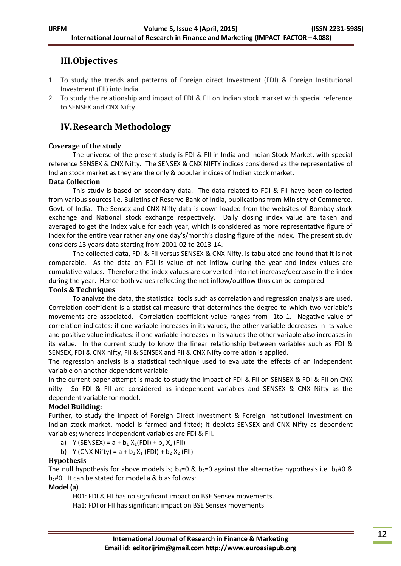# **III.Objectives**

- 1. To study the trends and patterns of Foreign direct Investment (FDI) & Foreign Institutional Investment (FII) into India.
- 2. To study the relationship and impact of FDI & FII on Indian stock market with special reference to SENSEX and CNX Nifty

# **IV.Research Methodology**

## **Coverage of the study**

The universe of the present study is FDI & FII in India and Indian Stock Market, with special reference SENSEX & CNX Nifty. The SENSEX & CNX NIFTY indices considered as the representative of Indian stock market as they are the only & popular indices of Indian stock market.

## **Data Collection**

This study is based on secondary data. The data related to FDI & FII have been collected from various sources i.e. Bulletins of Reserve Bank of India, publications from Ministry of Commerce, Govt. of India. The Sensex and CNX Nifty data is down loaded from the websites of Bombay stock exchange and National stock exchange respectively. Daily closing index value are taken and averaged to get the index value for each year, which is considered as more representative figure of index for the entire year rather any one day's/month's closing figure of the index. The present study considers 13 years data starting from 2001-02 to 2013-14.

The collected data, FDI & FII versus SENSEX & CNX Nifty, is tabulated and found that it is not comparable. As the data on FDI is value of net inflow during the year and index values are cumulative values. Therefore the index values are converted into net increase/decrease in the index during the year. Hence both values reflecting the net inflow/outflow thus can be compared.

## **Tools & Techniques**

To analyze the data, the statistical tools such as correlation and regression analysis are used. Correlation coefficient is a statistical measure that determines the degree to which two variable's movements are associated. Correlation coefficient value ranges from -1to 1. Negative value of correlation indicates: if one variable increases in its values, the other variable decreases in its value and positive value indicates: if one variable increases in its values the other variable also increases in its value. In the current study to know the linear relationship between variables such as FDI & SENSEX, FDI & CNX nifty, FII & SENSEX and FII & CNX Nifty correlation is applied.

The regression analysis is a statistical technique used to evaluate the effects of an independent variable on another dependent variable.

In the current paper attempt is made to study the impact of FDI & FII on SENSEX & FDI & FII on CNX nifty. So FDI & FII are considered as independent variables and SENSEX & CNX Nifty as the dependent variable for model.

## **Model Building:**

Further, to study the impact of Foreign Direct Investment & Foreign Institutional Investment on Indian stock market, model is farmed and fitted; it depicts SENSEX and CNX Nifty as dependent variables; whereas independent variables are FDI & FII.

- a) Y (SENSEX) =  $a + b_1 X_1(FDI) + b_2 X_2(FII)$
- b) Y (CNX Nifty) =  $a + b_1 X_1$  (FDI) +  $b_2 X_2$  (FII)

## **Hypothesis**

The null hypothesis for above models is;  $b_1=0$  &  $b_2=0$  against the alternative hypothesis i.e.  $b_1\#0$  &  $b_2$ #0. It can be stated for model a & b as follows:

## **Model (a)**

H01: FDI & FII has no significant impact on BSE Sensex movements.

Ha1: FDI or FII has significant impact on BSE Sensex movements.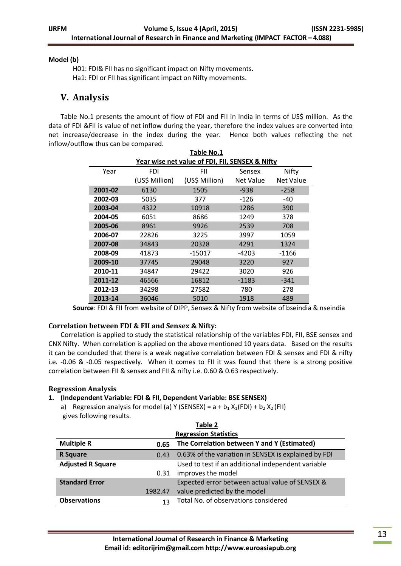#### **Model (b)**

H01: FDI& FII has no significant impact on Nifty movements. Ha1: FDI or FII has significant impact on Nifty movements.

## **V. Analysis**

Table No.1 presents the amount of flow of FDI and FII in India in terms of US\$ million. As the data of FDI &FII is value of net inflow during the year, therefore the index values are converted into net increase/decrease in the index during the year. Hence both values reflecting the net inflow/outflow thus can be compared.

| Table No.1                                      |                |                |                  |           |  |  |  |
|-------------------------------------------------|----------------|----------------|------------------|-----------|--|--|--|
| Year wise net value of FDI, FII, SENSEX & Nifty |                |                |                  |           |  |  |  |
| Year                                            | FDI            | FII            | Sensex           | Nifty     |  |  |  |
|                                                 | (US\$ Million) | (US\$ Million) | <b>Net Value</b> | Net Value |  |  |  |
| 2001-02                                         | 6130           | 1505           | $-938$           | $-258$    |  |  |  |
| 2002-03                                         | 5035           | 377            | $-126$           | -40       |  |  |  |
| 2003-04                                         | 4322           | 10918          | 1286             | 390       |  |  |  |
| 2004-05                                         | 6051           | 8686           | 1249             | 378       |  |  |  |
| 2005-06                                         | 8961           | 9926           | 2539             | 708       |  |  |  |
| 2006-07                                         | 22826          | 3225           | 3997             | 1059      |  |  |  |
| 2007-08                                         | 34843          | 20328          | 4291             | 1324      |  |  |  |
| 2008-09                                         | 41873          | -15017         | -4203            | $-1166$   |  |  |  |
| 2009-10                                         | 37745          | 29048          | 3220             | 927       |  |  |  |
| 2010-11                                         | 34847          | 29422          | 3020             | 926       |  |  |  |
| 2011-12                                         | 46566          | 16812          | $-1183$          | $-341$    |  |  |  |
| 2012-13                                         | 34298          | 27582          | 780              | 278       |  |  |  |
| 2013-14                                         | 36046          | 5010           | 1918             | 489       |  |  |  |

**Source**: FDI & FII from website of DIPP, Sensex & Nifty from website of bseindia & nseindia

## **Correlation between FDI & FII and Sensex & Nifty:**

Correlation is applied to study the statistical relationship of the variables FDI, FII, BSE sensex and CNX Nifty. When correlation is applied on the above mentioned 10 years data. Based on the results it can be concluded that there is a weak negative correlation between FDI & sensex and FDI & nifty i.e. -0.06 & -0.05 respectively. When it comes to FII it was found that there is a strong positive correlation between FII & sensex and FII & nifty i.e. 0.60 & 0.63 respectively.

## **Regression Analysis**

## **1. (Independent Variable: FDI & FII, Dependent Variable: BSE SENSEX)**

a) Regression analysis for model (a) Y (SENSEX) =  $a + b_1 X_1(FDI) + b_2 X_2(FII)$ gives following results.

| Table 2                  |         |                                                      |  |  |  |
|--------------------------|---------|------------------------------------------------------|--|--|--|
|                          |         | <b>Regression Statistics</b>                         |  |  |  |
| <b>Multiple R</b>        | 0.65    | The Correlation between Y and Y (Estimated)          |  |  |  |
| <b>R</b> Square          | 0.43    | 0.63% of the variation in SENSEX is explained by FDI |  |  |  |
| <b>Adjusted R Square</b> |         | Used to test if an additional independent variable   |  |  |  |
|                          | 0.31    | improves the model                                   |  |  |  |
| <b>Standard Error</b>    |         | Expected error between actual value of SENSEX &      |  |  |  |
|                          | 1982.47 | value predicted by the model                         |  |  |  |
| <b>Observations</b>      | 13      | Total No. of observations considered                 |  |  |  |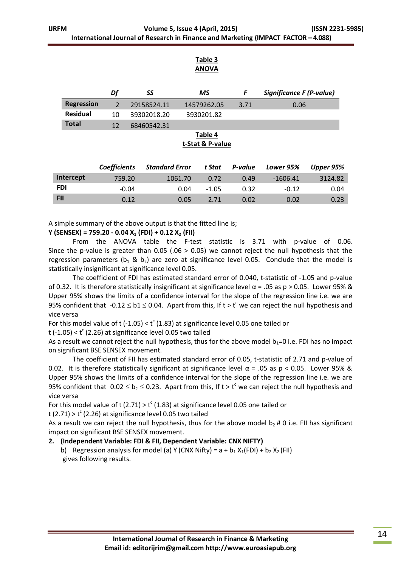#### **Table 3 ANOVA**

|                   | Df | SS          | ΜS          |      | Significance F (P-value) |
|-------------------|----|-------------|-------------|------|--------------------------|
| <b>Regression</b> |    | 29158524.11 | 14579262.05 | 3.71 | 0.06                     |
| <b>Residual</b>   | 10 | 39302018.20 | 3930201.82  |      |                          |
| <b>Total</b>      | 12 | 68460542.31 |             |      |                          |
|                   |    |             | Table 4     |      |                          |

**t-Stat & P-value**

|            | <b>Coefficients</b> | <b>Standard Error</b> | t Stat  | P-value | Lower 95%  | Upper 95% |
|------------|---------------------|-----------------------|---------|---------|------------|-----------|
| Intercept  | 759.20              | 1061.70               | 0.72    | 0.49    | $-1606.41$ | 3124.82   |
| <b>FDI</b> | $-0.04$             | 0.04                  | $-1.05$ | 0.32    | $-0.12$    | 0.04      |
| <b>FII</b> | 0.12                | 0.05                  | 2.71    | 0.02    | 0.02       | 0.23      |

A simple summary of the above output is that the fitted line is;

#### **Y (SENSEX) = 759.20 - 0.04 X<sup>1</sup> (FDI) + 0.12 X<sup>2</sup> (FII)**

From the ANOVA table the F-test statistic is 3.71 with p-value of 0.06. Since the p-value is greater than 0.05 (.06  $>$  0.05) we cannot reject the null hypothesis that the regression parameters ( $b_1$  &  $b_2$ ) are zero at significance level 0.05. Conclude that the model is statistically insignificant at significance level 0.05.

The coefficient of FDI has estimated standard error of 0.040, t-statistic of -1.05 and p-value of 0.32. It is therefore statistically insignificant at significance level α = .05 as p > 0.05. Lower 95% & Upper 95% shows the limits of a confidence interval for the slope of the regression line i.e. we are 95% confident that  $-0.12 \leq b1 \leq 0.04$ . Apart from this, If t > t<sup>c</sup> we can reject the null hypothesis and vice versa

For this model value of t (-1.05) <  $t^c$  (1.83) at significance level 0.05 one tailed or

t (-1.05) <  $t^c$  (2.26) at significance level 0.05 two tailed

As a result we cannot reject the null hypothesis, thus for the above model  $b_1=0$  i.e. FDI has no impact on significant BSE SENSEX movement.

The coefficient of FII has estimated standard error of 0.05, t-statistic of 2.71 and p-value of 0.02. It is therefore statistically significant at significance level  $\alpha$  = .05 as p < 0.05. Lower 95% & Upper 95% shows the limits of a confidence interval for the slope of the regression line i.e. we are 95% confident that  $0.02 \le b_2 \le 0.23$ . Apart from this, If t > t<sup>c</sup> we can reject the null hypothesis and vice versa

For this model value of t (2.71) >  $t^c$  (1.83) at significance level 0.05 one tailed or

t (2.71) >  $t^c$  (2.26) at significance level 0.05 two tailed

As a result we can reject the null hypothesis, thus for the above model  $b_2$  # 0 i.e. FII has significant impact on significant BSE SENSEX movement.

## **2. (Independent Variable: FDI & FII, Dependent Variable: CNX NIFTY)**

b) Regression analysis for model (a) Y (CNX Nifty) =  $a + b_1 X_1(FDI) + b_2 X_2(FII)$ gives following results.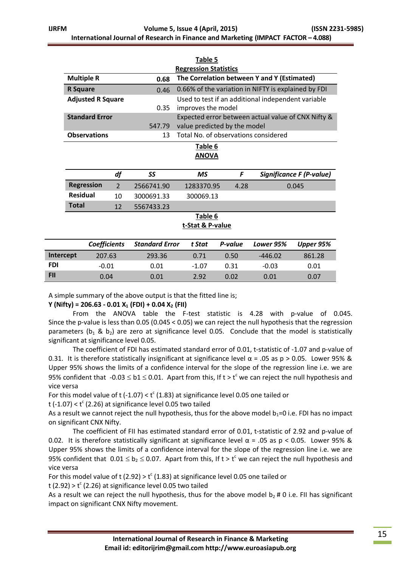|                   |                                                                   |                |                       | Table 5                                             |         |           |                                                    |
|-------------------|-------------------------------------------------------------------|----------------|-----------------------|-----------------------------------------------------|---------|-----------|----------------------------------------------------|
|                   |                                                                   |                |                       | <b>Regression Statistics</b>                        |         |           |                                                    |
| <b>Multiple R</b> |                                                                   |                | 0.68                  | The Correlation between Y and Y (Estimated)         |         |           |                                                    |
| <b>R</b> Square   |                                                                   |                | 0.46                  | 0.66% of the variation in NIFTY is explained by FDI |         |           |                                                    |
|                   | <b>Adjusted R Square</b>                                          |                |                       | Used to test if an additional independent variable  |         |           |                                                    |
|                   |                                                                   |                | 0.35                  | improves the model                                  |         |           |                                                    |
|                   | <b>Standard Error</b>                                             |                |                       |                                                     |         |           | Expected error between actual value of CNX Nifty & |
|                   |                                                                   |                | 547.79                | value predicted by the model                        |         |           |                                                    |
|                   | Total No. of observations considered<br><b>Observations</b><br>13 |                |                       |                                                     |         |           |                                                    |
|                   |                                                                   |                |                       | Table 6                                             |         |           |                                                    |
|                   |                                                                   |                |                       | <b>ANOVA</b>                                        |         |           |                                                    |
|                   |                                                                   |                |                       |                                                     |         |           |                                                    |
|                   |                                                                   | df             | SS                    | <b>MS</b>                                           | F       |           | <b>Significance F (P-value)</b>                    |
|                   | <b>Regression</b>                                                 | $\overline{2}$ | 2566741.90            | 1283370.95                                          | 4.28    |           | 0.045                                              |
| <b>Residual</b>   |                                                                   | 10             | 3000691.33            | 300069.13                                           |         |           |                                                    |
| <b>Total</b>      |                                                                   | 12             | 5567433.23            |                                                     |         |           |                                                    |
|                   |                                                                   |                |                       | Table 6                                             |         |           |                                                    |
|                   |                                                                   |                |                       | t-Stat & P-value                                    |         |           |                                                    |
|                   |                                                                   |                |                       |                                                     |         |           |                                                    |
|                   | <b>Coefficients</b>                                               |                | <b>Standard Error</b> | t Stat                                              | P-value | Lower 95% | Upper 95%                                          |
| Intercept         | 207.63                                                            |                | 293.36                | 0.71                                                | 0.50    | $-446.02$ | 861.28                                             |
| <b>FDI</b>        | $-0.01$                                                           |                | 0.01                  | $-1.07$                                             | 0.31    | $-0.03$   | 0.01                                               |

A simple summary of the above output is that the fitted line is;

**Y (Nifty) = 206.63 - 0.01 X<sup>1</sup> (FDI) + 0.04 X<sup>2</sup> (FII)**

From the ANOVA table the F-test statistic is 4.28 with p-value of 0.045. Since the p-value is less than 0.05 (0.045 < 0.05) we can reject the null hypothesis that the regression parameters ( $b_1$  &  $b_2$ ) are zero at significance level 0.05. Conclude that the model is statistically significant at significance level 0.05.

**FII** 0.04 0.01 2.92 0.02 0.01 0.07

The coefficient of FDI has estimated standard error of 0.01, t-statistic of -1.07 and p-value of 0.31. It is therefore statistically insignificant at significance level  $\alpha$  = .05 as p > 0.05. Lower 95% & Upper 95% shows the limits of a confidence interval for the slope of the regression line i.e. we are 95% confident that  $-0.03 \leq b1 \leq 0.01$ . Apart from this, If t > t<sup>c</sup> we can reject the null hypothesis and vice versa

For this model value of t (-1.07) <  $t^c$  (1.83) at significance level 0.05 one tailed or

t (-1.07) <  $t^c$  (2.26) at significance level 0.05 two tailed

As a result we cannot reject the null hypothesis, thus for the above model  $b_1=0$  i.e. FDI has no impact on significant CNX Nifty.

The coefficient of FII has estimated standard error of 0.01, t-statistic of 2.92 and p-value of 0.02. It is therefore statistically significant at significance level  $\alpha$  = .05 as p < 0.05. Lower 95% & Upper 95% shows the limits of a confidence interval for the slope of the regression line i.e. we are 95% confident that  $0.01 \le b_2 \le 0.07$ . Apart from this, If t > t<sup>c</sup> we can reject the null hypothesis and vice versa

For this model value of t (2.92) >  $t^c$  (1.83) at significance level 0.05 one tailed or

t (2.92) >  $t^c$  (2.26) at significance level 0.05 two tailed

As a result we can reject the null hypothesis, thus for the above model  $b_2 \# 0$  i.e. FII has significant impact on significant CNX Nifty movement.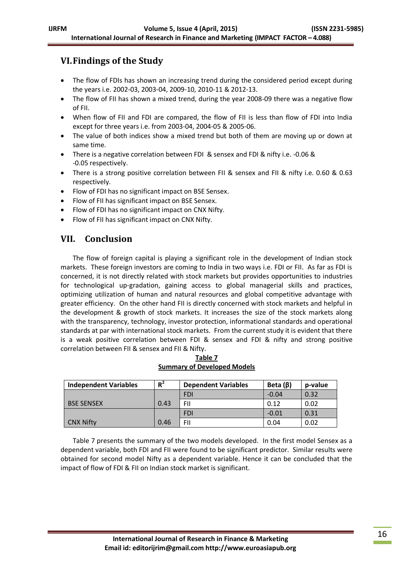# **VI.Findings of the Study**

- The flow of FDIs has shown an increasing trend during the considered period except during the years i.e. 2002-03, 2003-04, 2009-10, 2010-11 & 2012-13.
- The flow of FII has shown a mixed trend, during the year 2008-09 there was a negative flow of FII.
- When flow of FII and FDI are compared, the flow of FII is less than flow of FDI into India except for three years i.e. from 2003-04, 2004-05 & 2005-06.
- The value of both indices show a mixed trend but both of them are moving up or down at same time.
- There is a negative correlation between FDI & sensex and FDI & nifty i.e. -0.06 & -0.05 respectively.
- There is a strong positive correlation between FII & sensex and FII & nifty i.e. 0.60 & 0.63 respectively.
- Flow of FDI has no significant impact on BSE Sensex.
- Flow of FII has significant impact on BSE Sensex.
- Flow of FDI has no significant impact on CNX Nifty.
- Flow of FII has significant impact on CNX Nifty.

# **VII. Conclusion**

The flow of foreign capital is playing a significant role in the development of Indian stock markets. These foreign investors are coming to India in two ways i.e. FDI or FII. As far as FDI is concerned, it is not directly related with stock markets but provides opportunities to industries for technological up-gradation, gaining access to global managerial skills and practices, optimizing utilization of human and natural resources and global competitive advantage with greater efficiency. On the other hand FII is directly concerned with stock markets and helpful in the development & growth of stock markets. It increases the size of the stock markets along with the transparency, technology, investor protection, informational standards and operational standards at par with international stock markets. From the current study it is evident that there is a weak positive correlation between FDI & sensex and FDI & nifty and strong positive correlation between FII & sensex and FII & Nifty.

| $R^2$<br><b>Independent Variables</b> |      | <b>Dependent Variables</b> | Beta $(\beta)$ | p-value |
|---------------------------------------|------|----------------------------|----------------|---------|
|                                       |      | <b>FDI</b>                 | $-0.04$        | 0.32    |
| <b>BSE SENSEX</b>                     | 0.43 | FII                        | 0.12           | 0.02    |
|                                       |      | <b>FDI</b>                 | $-0.01$        | 0.31    |
| <b>CNX Nifty</b>                      | 0.46 | FII                        | 0.04           | 0.02    |

**Table 7 Summary of Developed Models**

Table 7 presents the summary of the two models developed. In the first model Sensex as a dependent variable, both FDI and FII were found to be significant predictor. Similar results were obtained for second model Nifty as a dependent variable. Hence it can be concluded that the impact of flow of FDI & FII on Indian stock market is significant.